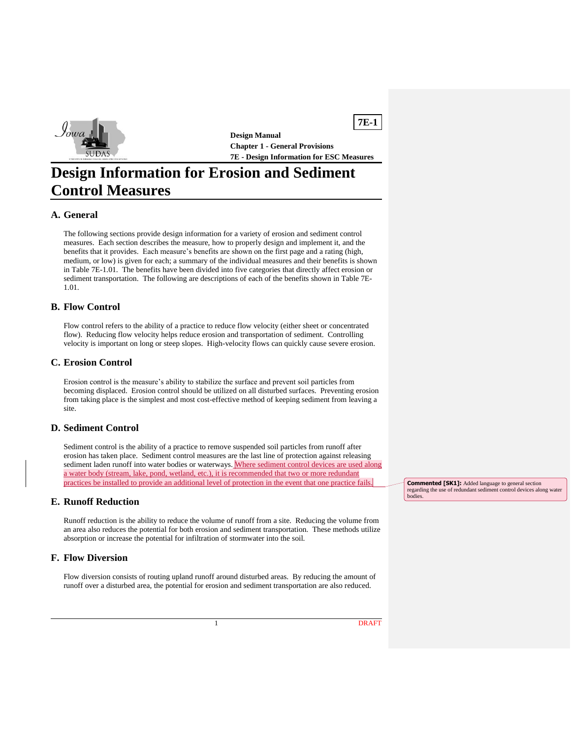

**Design Manual Chapter 1 - General Provisions 7E - Design Information for ESC Measures**

**7E-1**

# **Design Information for Erosion and Sediment Control Measures**

## **A. General**

The following sections provide design information for a variety of erosion and sediment control measures. Each section describes the measure, how to properly design and implement it, and the benefits that it provides. Each measure's benefits are shown on the first page and a rating (high, medium, or low) is given for each; a summary of the individual measures and their benefits is shown in Table 7E-1.01. The benefits have been divided into five categories that directly affect erosion or sediment transportation. The following are descriptions of each of the benefits shown in Table 7E-1.01.

#### **B. Flow Control**

Flow control refers to the ability of a practice to reduce flow velocity (either sheet or concentrated flow). Reducing flow velocity helps reduce erosion and transportation of sediment. Controlling velocity is important on long or steep slopes. High-velocity flows can quickly cause severe erosion.

#### **C. Erosion Control**

Erosion control is the measure's ability to stabilize the surface and prevent soil particles from becoming displaced. Erosion control should be utilized on all disturbed surfaces. Preventing erosion from taking place is the simplest and most cost-effective method of keeping sediment from leaving a site.

### **D. Sediment Control**

Sediment control is the ability of a practice to remove suspended soil particles from runoff after erosion has taken place. Sediment control measures are the last line of protection against releasing sediment laden runoff into water bodies or waterways. Where sediment control devices are used along a water body (stream, lake, pond, wetland, etc.), it is recommended that two or more redundant practices be installed to provide an additional level of protection in the event that one practice fail

### **E. Runoff Reduction**

Runoff reduction is the ability to reduce the volume of runoff from a site. Reducing the volume from an area also reduces the potential for both erosion and sediment transportation. These methods utilize absorption or increase the potential for infiltration of stormwater into the soil.

### **F. Flow Diversion**

Flow diversion consists of routing upland runoff around disturbed areas. By reducing the amount of runoff over a disturbed area, the potential for erosion and sediment transportation are also reduced.

**Commented [SK1]:** Added language to general section regarding the use of redundant sediment control devices along water bodies.